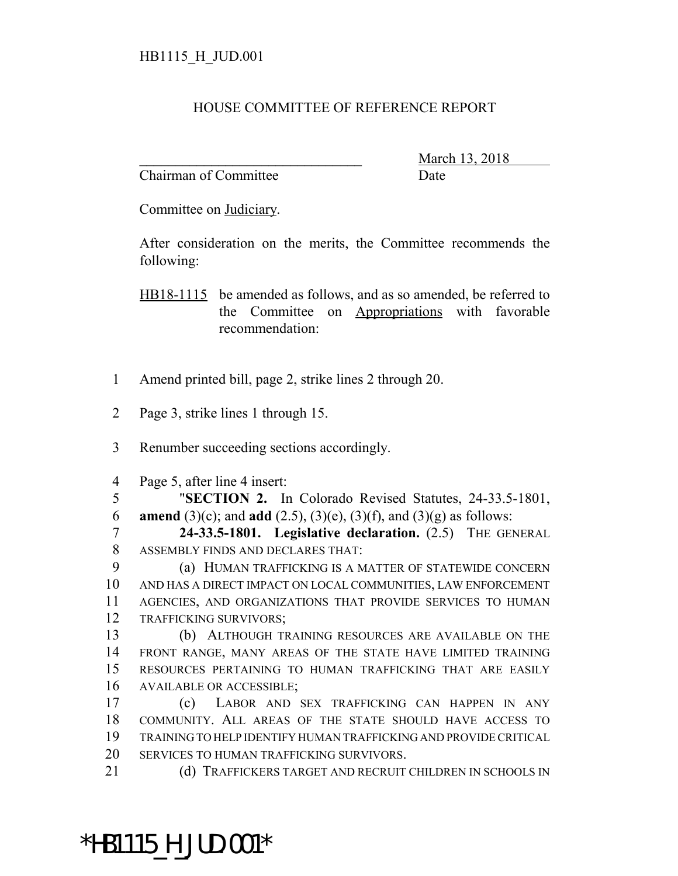## HOUSE COMMITTEE OF REFERENCE REPORT

Chairman of Committee Date

\_\_\_\_\_\_\_\_\_\_\_\_\_\_\_\_\_\_\_\_\_\_\_\_\_\_\_\_\_\_\_ March 13, 2018

Committee on Judiciary.

After consideration on the merits, the Committee recommends the following:

HB18-1115 be amended as follows, and as so amended, be referred to the Committee on Appropriations with favorable recommendation:

- Amend printed bill, page 2, strike lines 2 through 20.
- Page 3, strike lines 1 through 15.
- Renumber succeeding sections accordingly.
- Page 5, after line 4 insert:
- "**SECTION 2.** In Colorado Revised Statutes, 24-33.5-1801, **amend** (3)(c); and **add** (2.5), (3)(e), (3)(f), and (3)(g) as follows:

 **24-33.5-1801. Legislative declaration.** (2.5) THE GENERAL ASSEMBLY FINDS AND DECLARES THAT:

 (a) HUMAN TRAFFICKING IS A MATTER OF STATEWIDE CONCERN AND HAS A DIRECT IMPACT ON LOCAL COMMUNITIES, LAW ENFORCEMENT AGENCIES, AND ORGANIZATIONS THAT PROVIDE SERVICES TO HUMAN TRAFFICKING SURVIVORS;

 (b) ALTHOUGH TRAINING RESOURCES ARE AVAILABLE ON THE FRONT RANGE, MANY AREAS OF THE STATE HAVE LIMITED TRAINING RESOURCES PERTAINING TO HUMAN TRAFFICKING THAT ARE EASILY AVAILABLE OR ACCESSIBLE;

 (c) LABOR AND SEX TRAFFICKING CAN HAPPEN IN ANY COMMUNITY. ALL AREAS OF THE STATE SHOULD HAVE ACCESS TO TRAINING TO HELP IDENTIFY HUMAN TRAFFICKING AND PROVIDE CRITICAL SERVICES TO HUMAN TRAFFICKING SURVIVORS.

21 (d) TRAFFICKERS TARGET AND RECRUIT CHILDREN IN SCHOOLS IN

## \*HB1115\_H\_JUD.001\*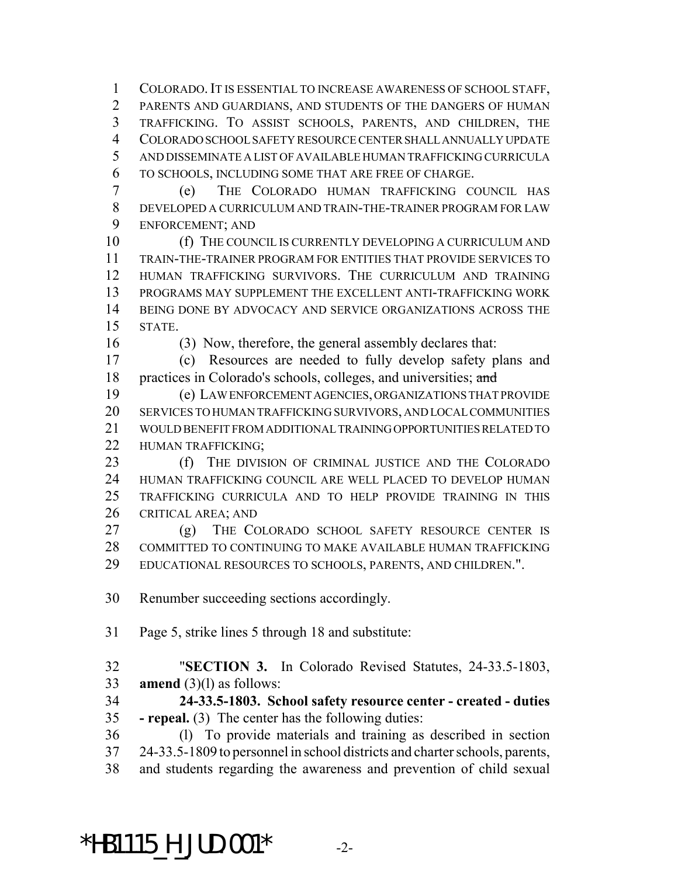COLORADO.IT IS ESSENTIAL TO INCREASE AWARENESS OF SCHOOL STAFF, PARENTS AND GUARDIANS, AND STUDENTS OF THE DANGERS OF HUMAN TRAFFICKING. TO ASSIST SCHOOLS, PARENTS, AND CHILDREN, THE COLORADO SCHOOL SAFETY RESOURCE CENTER SHALL ANNUALLY UPDATE AND DISSEMINATE A LIST OF AVAILABLE HUMAN TRAFFICKING CURRICULA TO SCHOOLS, INCLUDING SOME THAT ARE FREE OF CHARGE.

 (e) THE COLORADO HUMAN TRAFFICKING COUNCIL HAS DEVELOPED A CURRICULUM AND TRAIN-THE-TRAINER PROGRAM FOR LAW ENFORCEMENT; AND

10 (f) THE COUNCIL IS CURRENTLY DEVELOPING A CURRICULUM AND TRAIN-THE-TRAINER PROGRAM FOR ENTITIES THAT PROVIDE SERVICES TO HUMAN TRAFFICKING SURVIVORS. THE CURRICULUM AND TRAINING PROGRAMS MAY SUPPLEMENT THE EXCELLENT ANTI-TRAFFICKING WORK BEING DONE BY ADVOCACY AND SERVICE ORGANIZATIONS ACROSS THE STATE.

(3) Now, therefore, the general assembly declares that:

 (c) Resources are needed to fully develop safety plans and 18 practices in Colorado's schools, colleges, and universities; and

 (e) LAW ENFORCEMENT AGENCIES, ORGANIZATIONS THAT PROVIDE SERVICES TO HUMAN TRAFFICKING SURVIVORS, AND LOCAL COMMUNITIES WOULD BENEFIT FROM ADDITIONAL TRAINING OPPORTUNITIES RELATED TO HUMAN TRAFFICKING;

 (f) THE DIVISION OF CRIMINAL JUSTICE AND THE COLORADO HUMAN TRAFFICKING COUNCIL ARE WELL PLACED TO DEVELOP HUMAN TRAFFICKING CURRICULA AND TO HELP PROVIDE TRAINING IN THIS CRITICAL AREA; AND

 (g) THE COLORADO SCHOOL SAFETY RESOURCE CENTER IS COMMITTED TO CONTINUING TO MAKE AVAILABLE HUMAN TRAFFICKING EDUCATIONAL RESOURCES TO SCHOOLS, PARENTS, AND CHILDREN.".

Renumber succeeding sections accordingly.

Page 5, strike lines 5 through 18 and substitute:

 "**SECTION 3.** In Colorado Revised Statutes, 24-33.5-1803, **amend** (3)(l) as follows:

 **24-33.5-1803. School safety resource center - created - duties - repeal.** (3) The center has the following duties:

 (l) To provide materials and training as described in section 24-33.5-1809 to personnel in school districts and charter schools, parents, and students regarding the awareness and prevention of child sexual

\*HB1115 H JUD.001\*  $-2$ -